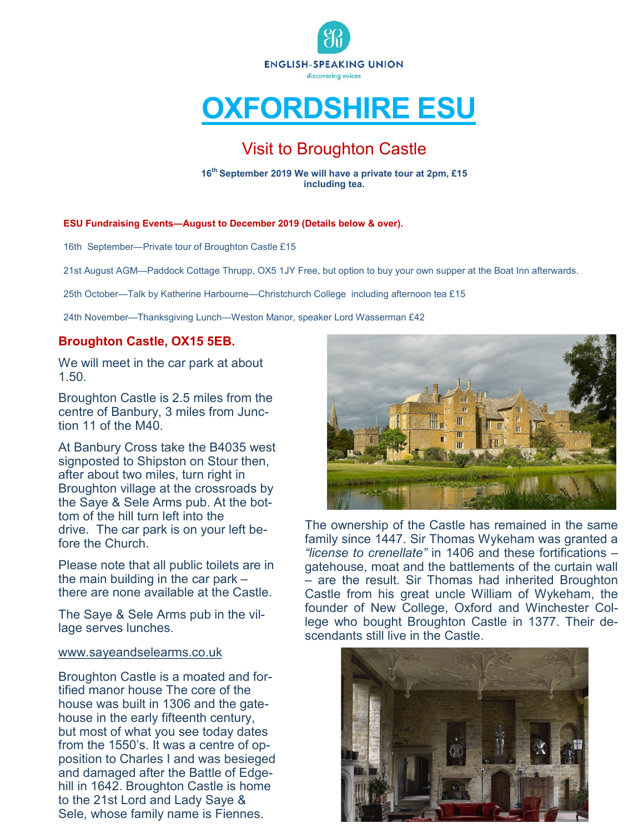

# **OXFORDSHIRE ESU**

# Visit to Broughton Castle

**16th September 2019 We will have a private tour at 2pm, £15 including tea.** 

#### **ESU Fundraising Events—August to December 2019 (Details below & over).**

16th September—Private tour of Broughton Castle £15

21st August AGM—Paddock Cottage Thrupp, OX5 1JY Free, but option to buy your own supper at the Boat Inn afterwards.

25th October—Talk by Katherine Harbourne—Christchurch College including afternoon tea £15

24th November—Thanksgiving Lunch—Weston Manor, speaker Lord Wasserman £42

# **Broughton Castle, OX15 5EB.**

We will meet in the car park at about 1.50.

Broughton Castle is 2.5 miles from the centre of Banbury, 3 miles from Junction 11 of the M40.

At Banbury Cross take the B4035 west signposted to Shipston on Stour then, after about two miles, turn right in Broughton village at the crossroads by the Saye & Sele Arms pub. At the bottom of the hill turn left into the drive. The car park is on your left before the Church.

Please note that all public toilets are in the main building in the car park – there are none available at the Castle.

The Saye & Sele Arms pub in the village serves lunches.

#### [www.sayeandselearms.co.uk](http://www.sayeandselearms.co.uk/)

Broughton Castle is a moated and fortified manor house The core of the house was built in 1306 and the gatehouse in the early fifteenth century, but most of what you see today dates from the 1550's. It was a centre of opposition to Charles I and was besieged and damaged after the Battle of Edgehill in 1642. Broughton Castle is home to the 21st Lord and Lady Saye & Sele, whose family name is Fiennes.



The ownership of the Castle has remained in the same family since 1447. Sir Thomas Wykeham was granted a *"license to crenellate"* in 1406 and these fortifications – gatehouse, moat and the battlements of the curtain wall – are the result. Sir Thomas had inherited Broughton Castle from his great uncle William of Wykeham, the founder of New College, Oxford and Winchester College who bought Broughton Castle in 1377. Their descendants still live in the Castle.